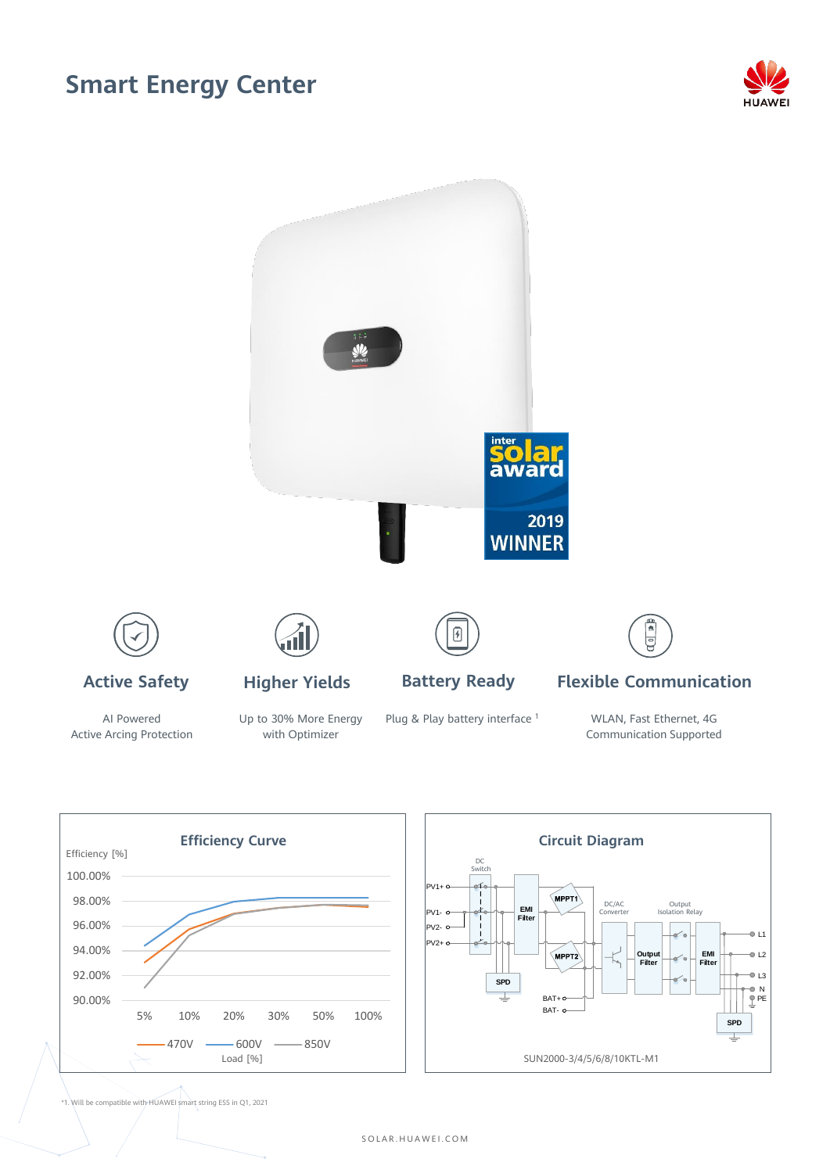## **Smart Energy Center**





AI Powered Active Arcing Protection Up to 30% More Energy with Optimizer

Plug & Play battery interface<sup>1</sup>

WLAN, Fast Ethernet, 4G Communication Supported



\*1. Will be compatible with HUAWEI smart string ESS in Q1, 2021